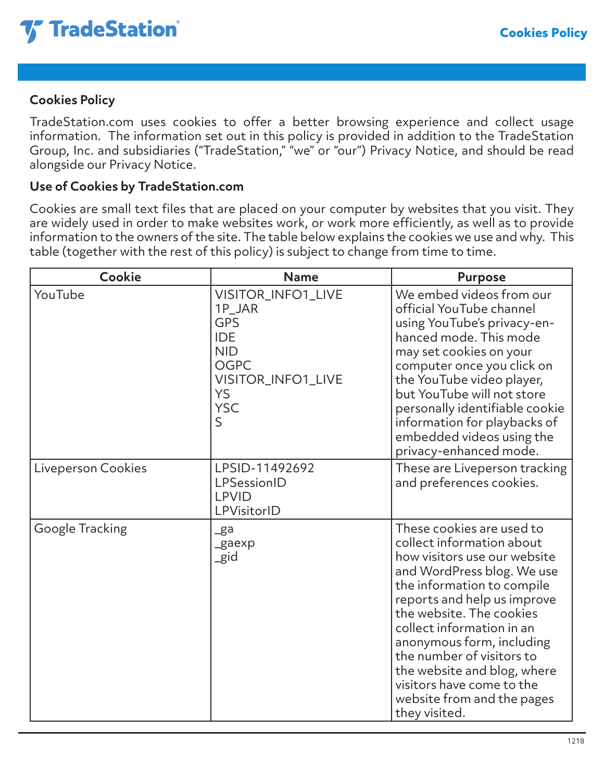

## **Cookies Policy**

TradeStation.com uses cookies to offer a better browsing experience and collect usage information. The information set out in this policy is provided in addition to the TradeStation Group, Inc. and subsidiaries ("TradeStation," "we" or "our") Privacy Notice, and should be read alongside our Privacy Notice.

## **Use of Cookies by TradeStation.com**

Cookies are small text files that are placed on your computer by websites that you visit. They are widely used in order to make websites work, or work more efficiently, as well as to provide information to the owners of the site. The table below explains the cookies we use and why. This table (together with the rest of this policy) is subject to change from time to time.

| Cookie             | <b>Name</b>                                                                                                                                            | <b>Purpose</b>                                                                                                                                                                                                                                                                                                                                                                                                  |
|--------------------|--------------------------------------------------------------------------------------------------------------------------------------------------------|-----------------------------------------------------------------------------------------------------------------------------------------------------------------------------------------------------------------------------------------------------------------------------------------------------------------------------------------------------------------------------------------------------------------|
| YouTube            | VISITOR_INFO1_LIVE<br>1P_JAR<br><b>GPS</b><br><b>IDE</b><br><b>NID</b><br><b>OGPC</b><br>VISITOR_INFO1_LIVE<br><b>YS</b><br><b>YSC</b><br>$\mathsf{S}$ | We embed videos from our<br>official YouTube channel<br>using YouTube's privacy-en-<br>hanced mode. This mode<br>may set cookies on your<br>computer once you click on<br>the YouTube video player,<br>but YouTube will not store<br>personally identifiable cookie<br>information for playbacks of<br>embedded videos using the<br>privacy-enhanced mode.                                                      |
| Liveperson Cookies | LPSID-11492692<br>LPSessionID<br><b>LPVID</b><br>LPVisitorID                                                                                           | These are Liveperson tracking<br>and preferences cookies.                                                                                                                                                                                                                                                                                                                                                       |
| Google Tracking    | $_{\rm g}$ a<br>_gaexp<br>_gid                                                                                                                         | These cookies are used to<br>collect information about<br>how visitors use our website<br>and WordPress blog. We use<br>the information to compile<br>reports and help us improve<br>the website. The cookies<br>collect information in an<br>anonymous form, including<br>the number of visitors to<br>the website and blog, where<br>visitors have come to the<br>website from and the pages<br>they visited. |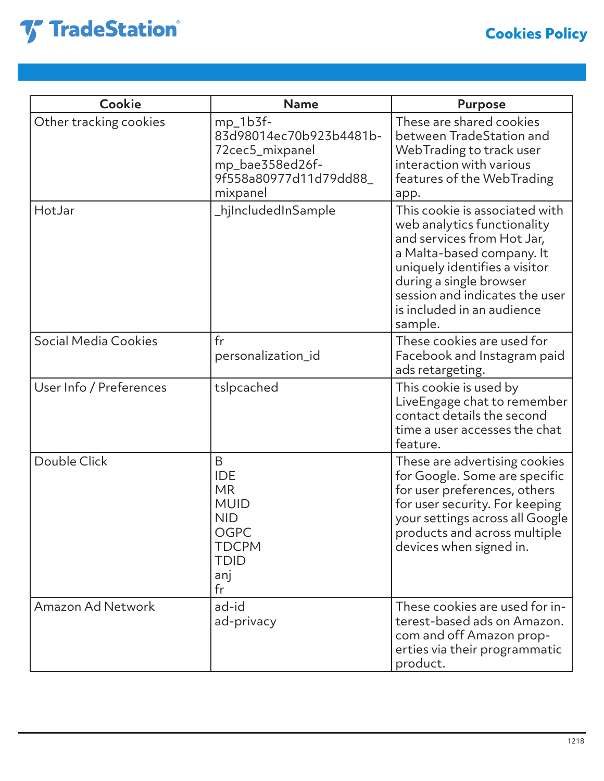

| Cookie                      | <b>Name</b>                                                                                                         | <b>Purpose</b>                                                                                                                                                                                                                                                  |
|-----------------------------|---------------------------------------------------------------------------------------------------------------------|-----------------------------------------------------------------------------------------------------------------------------------------------------------------------------------------------------------------------------------------------------------------|
| Other tracking cookies      | $mp_1b3f-$<br>83d98014ec70b923b4481b-<br>72 cec 5_mixpanel<br>mp_bae358ed26f-<br>9f558a80977d11d79dd88_<br>mixpanel | These are shared cookies<br>between TradeStation and<br>WebTrading to track user<br>interaction with various<br>features of the WebTrading<br>app.                                                                                                              |
| HotJar                      | _hjIncludedInSample                                                                                                 | This cookie is associated with<br>web analytics functionality<br>and services from Hot Jar,<br>a Malta-based company. It<br>uniquely identifies a visitor<br>during a single browser<br>session and indicates the user<br>is included in an audience<br>sample. |
| <b>Social Media Cookies</b> | fr<br>personalization_id                                                                                            | These cookies are used for<br>Facebook and Instagram paid<br>ads retargeting.                                                                                                                                                                                   |
| User Info / Preferences     | tslpcached                                                                                                          | This cookie is used by<br>LiveEngage chat to remember<br>contact details the second<br>time a user accesses the chat<br>feature.                                                                                                                                |
| Double Click                | B<br><b>IDE</b><br><b>MR</b><br><b>MUID</b><br><b>NID</b><br>OGPC<br><b>TDCPM</b><br><b>TDID</b><br>anj<br>fr       | These are advertising cookies<br>for Google. Some are specific<br>for user preferences, others<br>for user security. For keeping<br>your settings across all Google<br>products and across multiple<br>devices when signed in.                                  |
| <b>Amazon Ad Network</b>    | ad-id<br>ad-privacy                                                                                                 | These cookies are used for in-<br>terest-based ads on Amazon.<br>com and off Amazon prop-<br>erties via their programmatic<br>product.                                                                                                                          |